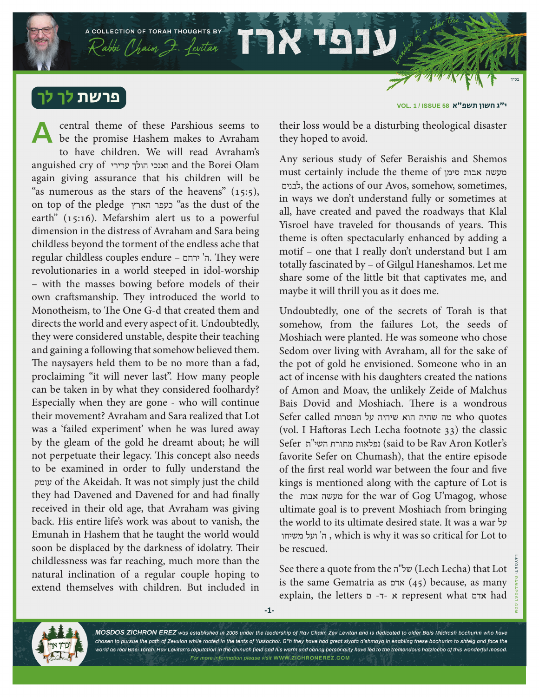פרשת לך לך

central theme of these Parshious seems to be the promise Hashem makes to Avraham to have children. We will read Avraham's anguished cry of ערירי הולך ואנכי and the Borei Olam again giving assurance that his children will be "as numerous as the stars of the heavens"  $(15:5)$ , on top of the pledge הארץ כעפר" as the dust of the earth" (15:16). Mefarshim alert us to a powerful dimension in the distress of Avraham and Sara being childless beyond the torment of the endless ache that regular childless couples endure – ירחם' ה. They were revolutionaries in a world steeped in idol-worship – with the masses bowing before models of their own craftsmanship. They introduced the world to Monotheism, to The One G-d that created them and directs the world and every aspect of it. Undoubtedly, they were considered unstable, despite their teaching and gaining a following that somehow believed them. The naysayers held them to be no more than a fad, proclaiming "it will never last". How many people can be taken in by what they considered foolhardy? Especially when they are gone - who will continue their movement? Avraham and Sara realized that Lot was a 'failed experiment' when he was lured away by the gleam of the gold he dreamt about; he will not perpetuate their legacy. This concept also needs to be examined in order to fully understand the עומק of the Akeidah. It was not simply just the child they had Davened and Davened for and had finally received in their old age, that Avraham was giving back. His entire life's work was about to vanish, the Emunah in Hashem that he taught the world would soon be displaced by the darkness of idolatry. Their childlessness was far reaching, much more than the natural inclination of a regular couple hoping to extend themselves with children. But included in **A**

A COLLECTION OF TORAH THOUGHTS BY

Rabbi Chaim 7. Levitar 1998

י״ג חשון תשפ"א **58 ISSUE / 1 .VOL**

their loss would be a disturbing theological disaster they hoped to avoid.

Any serious study of Sefer Beraishis and Shemos must certainly include the theme of סימן אבות מעשה לבנים, the actions of our Avos, somehow, sometimes, in ways we don't understand fully or sometimes at all, have created and paved the roadways that Klal Yisroel have traveled for thousands of years. This theme is often spectacularly enhanced by adding a motif – one that I really don't understand but I am totally fascinated by – of Gilgul Haneshamos. Let me share some of the little bit that captivates me, and maybe it will thrill you as it does me.

Undoubtedly, one of the secrets of Torah is that somehow, from the failures Lot, the seeds of Moshiach were planted. He was someone who chose Sedom over living with Avraham, all for the sake of the pot of gold he envisioned. Someone who in an act of incense with his daughters created the nations of Amon and Moav, the unlikely Zeide of Malchus Bais Dovid and Moshiach. There is a wondrous quotes who מה שהיה הוא שיהיה על הפטרות called Sefer (vol. I Haftoras Lech Lecha footnote 33) the classic Sefer תּמורת השי"ת) (said to be Rav Aron Kotler's favorite Sefer on Chumash), that the entire episode of the first real world war between the four and five kings is mentioned along with the capture of Lot is the אבות מעשה for the war of Gog U'magog, whose ultimate goal is to prevent Moshiach from bringing the world to its ultimate desired state. It was a war על משיחו ועל' ה , which is why it was so critical for Lot to be rescued.

See there a quote from the ה"של) Lech Lecha) that Lot is the same Gematria as אדם) 45 (because, as many explain, the letters ם -ד- א represent what אדם had



MOSDOS ZICHRON EREZ was established in 2005 under the leadership of Rav Chaim Zev Levitan and is dedicated to older Bais Medrash bochurim who have chosen to pursue the path of Zevulon while rooted in the tents of Yissochor. B"h they have had great siyata d'shmaya in enabling these bochurim to shteig and face the world as real Bnei Torah. Rav Levitan's reputation in the chinuch field and his warm and caring personality have led to the tremendous hatzlocho of this wonderful mosod. For more information please visit WWW.ZICHRONEREZ.COM

**-1-**